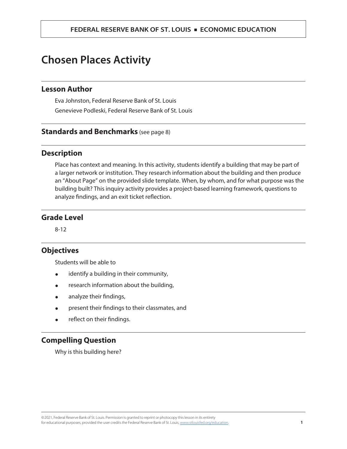# **Chosen Places Activity**

# **Lesson Author**

Eva Johnston, Federal Reserve Bank of St. Louis Genevieve Podleski, Federal Reserve Bank of St. Louis

# **Standards and Benchmarks** (see page 8)

# **Description**

Place has context and meaning. In this activity, students identify a building that may be part of a larger network or institution. They research information about the building and then produce an "About Page" on the provided slide template. When, by whom, and for what purpose was the building built? This inquiry activity provides a project-based learning framework, questions to analyze findings, and an exit ticket reflection.

# **Grade Level**

8-12

# **Objectives**

Students will be able to

- ⚫ identify a building in their community,
- ⚫ research information about the building,
- analyze their findings,
- ⚫ present their findings to their classmates, and
- ⚫ reflect on their findings.

# **Compelling Question**

Why is this building here?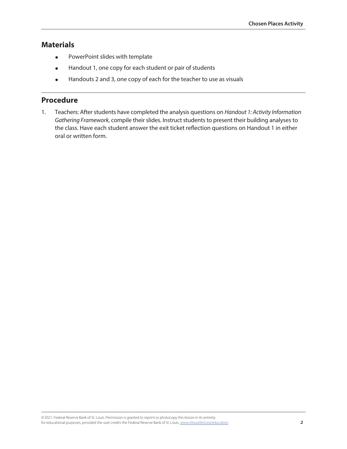# **Materials**

- ⚫ PowerPoint slides with template
- ⚫ Handout 1, one copy for each student or pair of students
- Handouts 2 and 3, one copy of each for the teacher to use as visuals

# **Procedure**

1. Teachers: After students have completed the analysis questions on *Handout 1: Activity Information Gathering Framework*, compile their slides. Instruct students to present their building analyses to the class. Have each student answer the exit ticket reflection questions on Handout 1 in either oral or written form.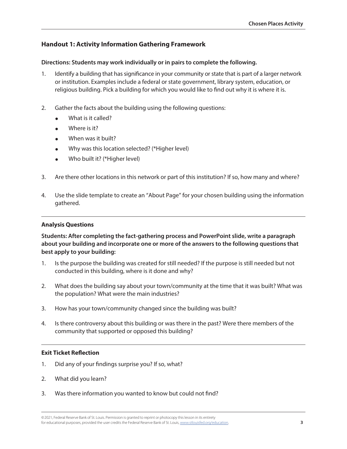# **Handout 1: Activity Information Gathering Framework**

## **Directions: Students may work individually or in pairs to complete the following.**

- 1. Identify a building that has significance in your community or state that is part of a larger network or institution. Examples include a federal or state government, library system, education, or religious building. Pick a building for which you would like to find out why it is where it is.
- 2. Gather the facts about the building using the following questions:
	- ⚫ What is it called?
	- ⚫ Where is it?
	- When was it built?
	- ⚫ Why was this location selected? (\*Higher level)
	- ⚫ Who built it? (\*Higher level)
- 3. Are there other locations in this network or part of this institution? If so, how many and where?
- 4. Use the slide template to create an "About Page" for your chosen building using the information gathered.

## **Analysis Questions**

**Students: After completing the fact-gathering process and PowerPoint slide, write a paragraph about your building and incorporate one or more of the answers to the following questions that best apply to your building:**

- 1. Is the purpose the building was created for still needed? If the purpose is still needed but not conducted in this building, where is it done and why?
- 2. What does the building say about your town/community at the time that it was built? What was the population? What were the main industries?
- 3. How has your town/community changed since the building was built?
- 4. Is there controversy about this building or was there in the past? Were there members of the community that supported or opposed this building?

## **Exit Ticket Reflection**

- 1. Did any of your findings surprise you? If so, what?
- 2. What did you learn?
- 3. Was there information you wanted to know but could not find?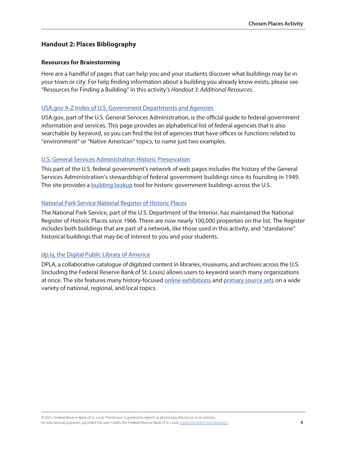# **Handout 2: Places Bibliography**

#### **Resources for Brainstorming**

Here are a handful of pages that can help you and your students discover what buildings may be in your town or city. For help finding information about a building you already know exists, please see "Resources for Finding a Building" in this activity's *Handout 3: Additional Resources*.

#### [USA.gov A-Z Index of U.S. Government Departments and Agencies](https://www.usa.gov/federal-agencies)

USA.gov, part of the U.S. General Services Administration, is the official guide to federal government information and services. This page provides an alphabetical list of federal agencies that is also searchable by keyword, so you can find the list of agencies that have offices or functions related to "environment" or "Native American" topics, to name just two examples.

#### [U.S. General Services Administration Historic Preservation](https://www.gsa.gov/real-estate/historic-preservation)

This part of the U.S. federal government's network of web pages includes the history of the General Services Administration's stewardship of federal government buildings since its founding in 1949. The site provides a [building lookup](https://www.gsa.gov/real-estate/historic-preservation/explore-historic-buildings/find-a-building-search) tool for historic government buildings across the U.S.

#### [National Park Service National Register of Historic Places](https://www.nps.gov/subjects/nationalregister/index.htm)

The National Park Service, part of the U.S. Department of the Interior, has maintained the National Register of Historic Places since 1966. There are now nearly 100,000 properties on the list. The Register includes both buildings that are part of a network, like those used in this activity, and "standalone" historical buildings that may be of interest to you and your students.

#### [dp.la, the Digital Public Library of America](https://dp.la/)

DPLA, a collaborative catalogue of digitized content in libraries, museums, and archives across the U.S. (including the Federal Reserve Bank of St. Louis) allows users to keyword search many organizations at once. The site features many history-focused [online exhibitions](https://dp.la/exhibitions) and [primary source sets](https://dp.la/primary-source-sets) on a wide variety of national, regional, and local topics.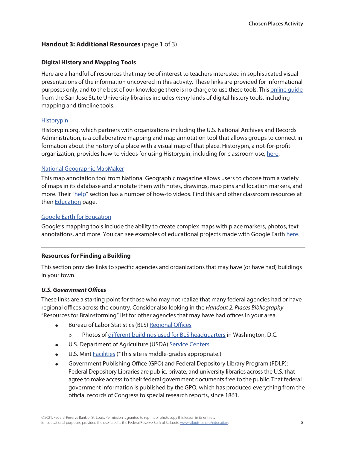# **Handout 3: Additional Resources** (page 1 of 3)

## **Digital History and Mapping Tools**

Here are a handful of resources that may be of interest to teachers interested in sophisticated visual presentations of the information uncovered in this activity. These links are provided for informational purposes only, and to the best of our knowledge there is no charge to use these tools. This [online guide](https://shsulibraryguides.org/digitalhistory/tools) from the San Jose State University libraries includes *many* kinds of digital history tools, including mapping and timeline tools.

## **[Historypin](https://www.historypin.org/en/)**

Historypin.org, which partners with organizations including the U.S. National Archives and Records Administration, is a collaborative mapping and map annotation tool that allows groups to connect information about the history of a place with a visual map of that place. Historypin, a not-for-profit organization, provides how-to videos for using Historypin, including for classroom use, [here](https://about.historypin.org/how-to-guides/).

## [National Geographic MapMaker](https://mapmaker.nationalgeographic.org/)

This map annotation tool from National Geographic magazine allows users to choose from a variety of maps in its database and annotate them with notes, drawings, map pins and location markers, and more. Their ["help"](https://mapmaker.nationalgeographic.org/#/help) section has a number of how-to videos. Find this and other classroom resources at their **[Education](https://www.nationalgeographic.org/education/classroom-resources/mapping/)** page.

## [Google Earth for Education](https://www.google.com/earth/education/)

Google's mapping tools include the ability to create complex maps with place markers, photos, text annotations, and more. You can see examples of educational projects made with Google Earth [here](https://www.google.com/intl/en_us/earth/education/explore-earth/).

# **Resources for Finding a Building**

This section provides links to specific agencies and organizations that may have (or have had) buildings in your town.

## *U.S. Government Offices*

These links are a starting point for those who may not realize that many federal agencies had or have regional offices across the country. Consider also looking in the *Handout 2: Places Bibliography* "Resources for Brainstorming" list for other agencies that may have had offices in your area.

- Bureau of Labor Statistics (BLS) [Regional Offices](https://www.bls.gov/regions/contacts.htm)
	- ⚪ Photos of [different buildings used for BLS headquarters](https://www.bls.gov/bls/history/building_photos.htm) in Washington, D.C.
- ⚫ U.S. Department of Agriculture (USDA) [Service Centers](https://offices.sc.egov.usda.gov/locator/app)
- U.S. Mint **[Facilities](https://www.usmint.gov/learn/kids/coins/mint-facilities)** (\*This site is middle-grades appropriate.)
- ⚫ Government Publishing Office (GPO) and Federal Depository Library Program (FDLP): Federal Depository Libraries are public, private, and university libraries across the U.S. that agree to make access to their federal government documents free to the public. That federal government information is published by the GPO, which has produced everything from the official records of Congress to special research reports, since 1861.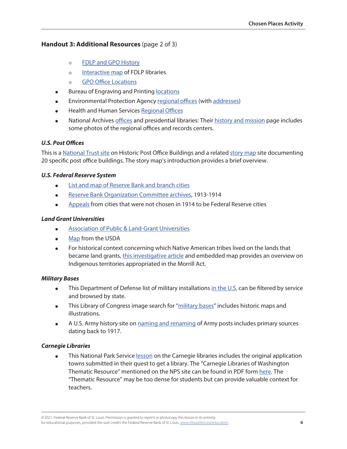# **Handout 3: Additional Resources** (page 2 of 3)

- ⚪ [FDLP and GPO History](https://www.fdlp.gov/about-the-fdlp/mission-and-history)
- o [Interactive map](https://www.fdlp.gov/about-the-fdlp/federal-depository-libraries) of FDLP libraries
- ⚪ [GPO Office Locations](https://www.gpo.gov/who-we-are/our-agency/office-locations)
- Bureau of Engraving and Printing [locations](https://www.moneyfactory.gov/services/takeatour.html)
- ⚫ Environmental Protection Agency [regional offices](https://www.epa.gov/careers/where-us-can-i-work-epa) (with [addresses\)](https://www.epa.gov/aboutepa/mailing-addresses-and-phone-numbers)
- ⚫ Health and Human Services [Regional Offices](https://www.hhs.gov/about/agencies/iea/regional-offices/index.html)
- ⚫ National Archives [offices](https://www.archives.gov/locations) and presidential libraries: Their [history and mission](https://www.archives.gov/about/history/about/history/history-and-mission) page includes some photos of the regional offices and records centers.

# *U.S. Post Offices*

This is a [National Trust site](https://savingplaces.org/places/historic-post-office-buildings) on Historic Post Office Buildings and a related [story map](https://savingplaces.org/places/historic-post-office-buildings/updates) site documenting 20 specific post office buildings. The story map's introduction provides a brief overview.

## *U.S. Federal Reserve System*

- ⚫ [List and map of Reserve Bank and branch cities](https://www.federalreserveeducation.org/about-the-fed/structure-and-functions/districts)
- ⚫ [Reserve Bank Organization Committee archives,](https://fraser.stlouisfed.org/archival-collection/records-federal-reserve-system-1344#473064) 1913-1914
- ⚫ [Appeals](https://fraser.stlouisfed.org/archival-collection/records-federal-reserve-system-1344#473065) from cities that were not chosen in 1914 to be Federal Reserve cities

## *Land Grant Universities*

- ⚫ [Association of Public & Land-Grant Universities](file://///h1rsrchpfs02/RsrchShare/data/EconEd/FRASER/NCHE2021/bibliography/•%09https:/www.aplu.org/about-us/history-of-aplu/what-is-a-land-grant-university/)
- ⚫ [Map](https://nifa.usda.gov/resource/land-grant-colleges-and-universities-map) from the USDA
- ⚫ For historical context concerning which Native American tribes lived on the lands that became land grants, [this investigative article](https://www.hcn.org/issues/52.4/indigenous-affairs-education-land-grab-universities) and embedded map provides an overview on Indigenous territories appropriated in the Morrill Act.

# *Military Bases*

- $\bullet$  This Department of Defense list of military installations [in the U.S.](https://installations.militaryonesource.mil/view-all) can be filtered by service and browsed by state.
- This Library of Congress image search for "[military bases](https://www.loc.gov/maps/?all=true&dates=1900-1999&fa=subject:military+bases)" includes historic maps and illustrations.
- ⚫ A U.S. Army history site on [naming and renaming](https://history.army.mil/faq/naming-of-us-army-posts.htm) of Army posts includes primary sources dating back to 1917.

# *Carnegie Libraries*

• This National Park Service [lesson](https://www.nps.gov/articles/carnegie-libraries-the-future-made-bright-teaching-with-historic-places.htm) on the Carnegie libraries includes the original application towns submitted in their quest to get a library. The "Carnegie Libraries of Washington Thematic Resource" mentioned on the NPS site can be found in PDF form [here](https://npgallery.nps.gov/GetAsset/130ad3ef-833c-4553-8f92-c3e939c7237a). The "Thematic Resource" may be too dense for students but can provide valuable context for teachers.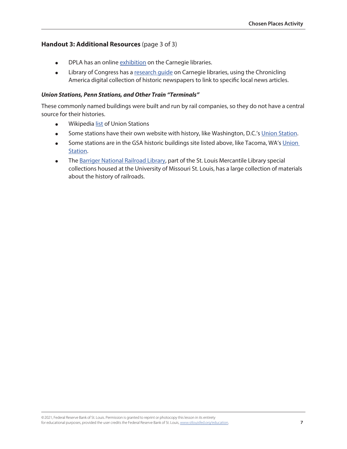## **Handout 3: Additional Resources** (page 3 of 3)

- **•** DPLA has an online [exhibition](https://dp.la/exhibitions/history-us-public-libraries/carnegie-libraries) on the Carnegie libraries.
- Library of Congress has a [research guide](https://guides.loc.gov/chronicling-america-carnegie-libraries) on Carnegie libraries, using the Chronicling America digital collection of historic newspapers to link to specific local news articles.

#### *Union Stations, Penn Stations, and Other Train "Terminals"*

These commonly named buildings were built and run by rail companies, so they do not have a central source for their histories.

- Wikipedia [list](https://en.wikipedia.org/wiki/Category:Union_stations_in_the_United_States) of Union Stations
- Some stations have their own website with history, like Washington, D.C.'s [Union Station.](https://www.unionstationdc.com/History-of-Union-Station/)
- Some stations are in the GSA historic buildings site listed above, like Tacoma, WA's Union [Station.](https://www.gsa.gov/historic-buildings/tacoma-union-station-tacoma-wa)
- The [Barriger National Railroad Library,](http://www.umsl.edu/mercantile/barriger/index.html) part of the St. Louis Mercantile Library special collections housed at the University of Missouri St. Louis, has a large collection of materials about the history of railroads.